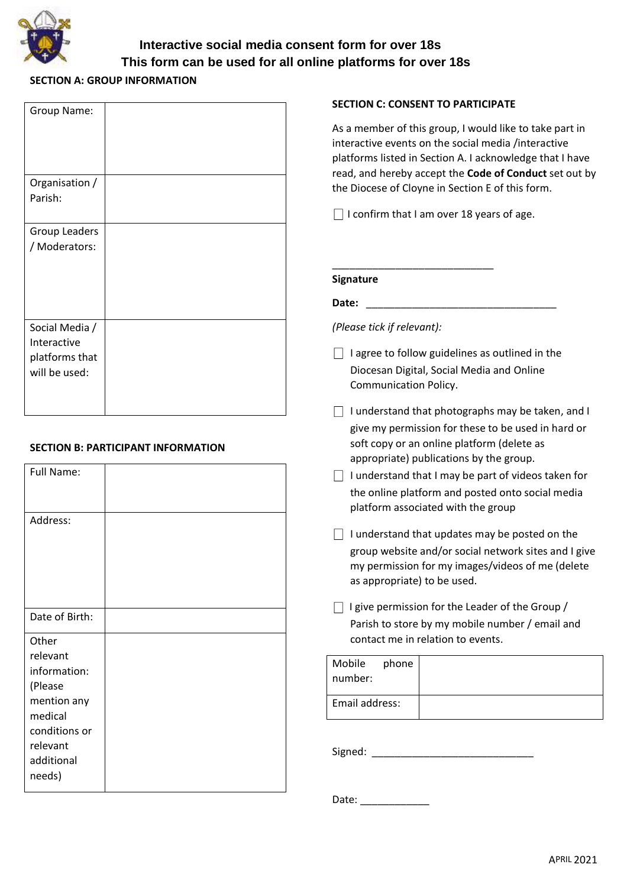

# **Interactive social media consent form for over 18s This form can be used for all online platforms for over 18s**

## **SECTION A: GROUP INFORMATION**

| Group Name:                                                      |  |
|------------------------------------------------------------------|--|
| Organisation /<br>Parish:                                        |  |
| Group Leaders<br>/ Moderators:                                   |  |
| Social Media /<br>Interactive<br>platforms that<br>will be used: |  |

## **SECTION B: PARTICIPANT INFORMATION**

| Full Name:     |  |
|----------------|--|
| Address:       |  |
| Date of Birth: |  |
| Other          |  |
| relevant       |  |
| information:   |  |
| (Please        |  |
| mention any    |  |
| medical        |  |
| conditions or  |  |
| relevant       |  |
| additional     |  |
| needs)         |  |

### **SECTION C: CONSENT TO PARTICIPATE**

As a member of this group, I would like to take part in interactive events on the social media /interactive platforms listed in Section A. I acknowledge that I have read, and hereby accept the **Code of Conduct** set out by the Diocese of Cloyne in Section E of this form.

 $\Box$  I confirm that I am over 18 years of age.

\_\_\_\_\_\_\_\_\_\_\_\_\_\_\_\_\_\_\_\_\_\_\_\_\_\_\_\_

**Date:**  $\blacksquare$ 

*(Please tick if relevant):* 

- $\Box$  I agree to follow guidelines as outlined in the Diocesan Digital, Social Media and Online Communication Policy.
- $\Box$  I understand that photographs may be taken, and I give my permission for these to be used in hard or soft copy or an online platform (delete as appropriate) publications by the group.
- $\Box$  I understand that I may be part of videos taken for the online platform and posted onto social media platform associated with the group
- $\Box$  I understand that updates may be posted on the group website and/or social network sites and I give my permission for my images/videos of me (delete as appropriate) to be used.
- $\Box$  I give permission for the Leader of the Group / Parish to store by my mobile number / email and contact me in relation to events.

| Mobile<br>number: | phone |  |
|-------------------|-------|--|
| Email address:    |       |  |

Signed: \_\_\_\_\_\_\_\_\_\_\_\_\_\_\_\_\_\_\_\_\_\_\_\_\_\_\_\_

Date:  $\Box$